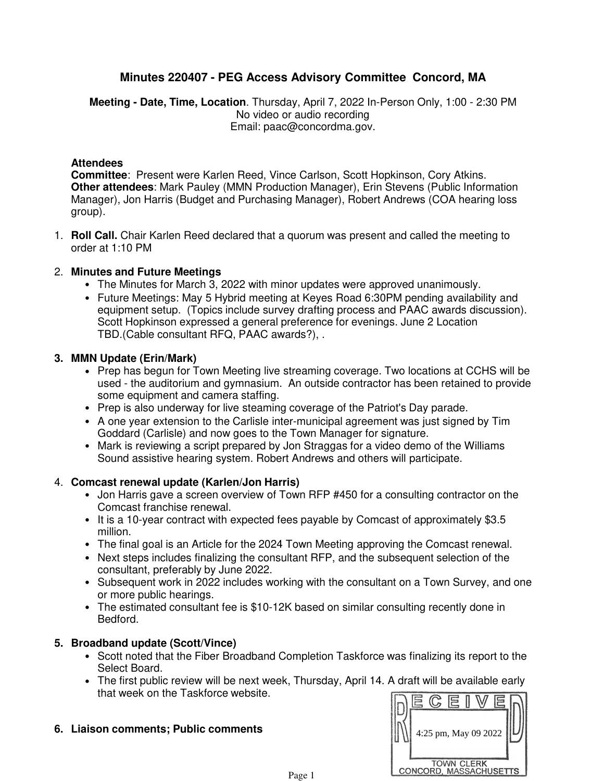# **Minutes 220407 - PEG Access Advisory Committee Concord, MA**

**Meeting - Date, Time, Location**. Thursday, April 7, 2022 In-Person Only, 1:00 - 2:30 PM No video or audio recording Email: paac@concordma.gov.

### **Attendees**

**Committee**: Present were Karlen Reed, Vince Carlson, Scott Hopkinson, Cory Atkins. **Other attendees**: Mark Pauley (MMN Production Manager), Erin Stevens (Public Information Manager), Jon Harris (Budget and Purchasing Manager), Robert Andrews (COA hearing loss group).

**Roll Call.** Chair Karlen Reed declared that a quorum was present and called the meeting to 1. order at 1:10 PM

# **Minutes and Future Meetings** 2.

- The Minutes for March 3, 2022 with minor updates were approved unanimously.
- Future Meetings: May 5 Hybrid meeting at Keyes Road 6:30PM pending availability and equipment setup. (Topics include survey drafting process and PAAC awards discussion). Scott Hopkinson expressed a general preference for evenings. June 2 Location TBD.(Cable consultant RFQ, PAAC awards?), .

#### **MMN Update (Erin/Mark) 3.**

- Prep has begun for Town Meeting live streaming coverage. Two locations at CCHS will be used - the auditorium and gymnasium. An outside contractor has been retained to provide some equipment and camera staffing.
- Prep is also underway for live steaming coverage of the Patriot's Day parade.
- A one year extension to the Carlisle inter-municipal agreement was just signed by Tim Goddard (Carlisle) and now goes to the Town Manager for signature.
- Mark is reviewing a script prepared by Jon Straggas for a video demo of the Williams Sound assistive hearing system. Robert Andrews and others will participate.

#### **Comcast renewal update (Karlen/Jon Harris)** 4.

- Jon Harris gave a screen overview of Town RFP #450 for a consulting contractor on the Comcast franchise renewal.
- It is a 10-year contract with expected fees payable by Comcast of approximately \$3.5 million.
- The final goal is an Article for the 2024 Town Meeting approving the Comcast renewal.
- Next steps includes finalizing the consultant RFP, and the subsequent selection of the consultant, preferably by June 2022.
- Subsequent work in 2022 includes working with the consultant on a Town Survey, and one or more public hearings.
- The estimated consultant fee is \$10-12K based on similar consulting recently done in Bedford.

# **Broadband update (Scott/Vince) 5.**

- Scott noted that the Fiber Broadband Completion Taskforce was finalizing its report to the Select Board.
- The first public review will be next week, Thursday, April 14. A draft will be available early that week on the Taskforce website.
- **Liaison comments; Public comments 6.**